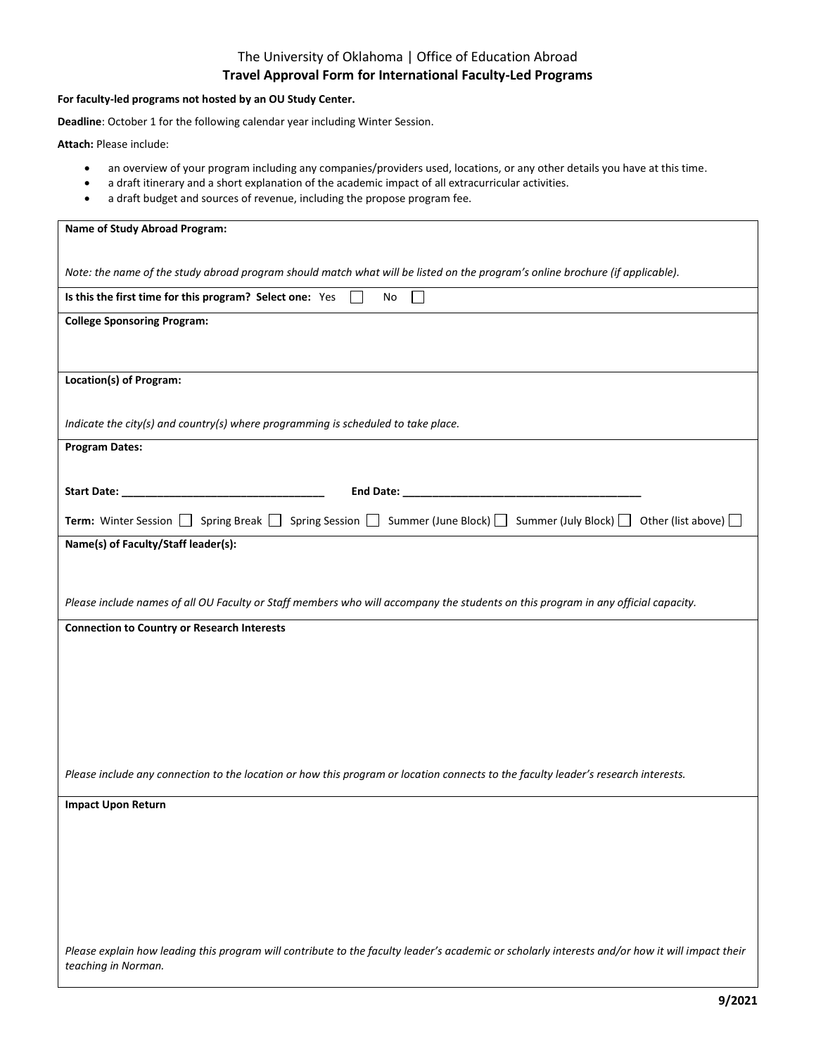# The University of Oklahoma | Office of Education Abroad **Travel Approval Form for International Faculty-Led Programs**

#### **For faculty-led programs not hosted by an OU Study Center.**

**Deadline**: October 1 for the following calendar year including Winter Session.

**Attach:** Please include:

- an overview of your program including any companies/providers used, locations, or any other details you have at this time.
- a draft itinerary and a short explanation of the academic impact of all extracurricular activities.
- a draft budget and sources of revenue, including the propose program fee.

| Name of Study Abroad Program:                                                                                                                                          |
|------------------------------------------------------------------------------------------------------------------------------------------------------------------------|
|                                                                                                                                                                        |
| Note: the name of the study abroad program should match what will be listed on the program's online brochure (if applicable).                                          |
| Is this the first time for this program? Select one: Yes<br>$\Box$<br>No                                                                                               |
| <b>College Sponsoring Program:</b>                                                                                                                                     |
|                                                                                                                                                                        |
| Location(s) of Program:                                                                                                                                                |
| Indicate the city(s) and country(s) where programming is scheduled to take place.                                                                                      |
| <b>Program Dates:</b>                                                                                                                                                  |
|                                                                                                                                                                        |
|                                                                                                                                                                        |
| <b>Term:</b> Winter Session $\Box$ Spring Break $\Box$ Spring Session $\Box$ Summer (June Block) $\Box$ Summer (July Block) $\Box$ Other (list above) $\Box$           |
| Name(s) of Faculty/Staff leader(s):                                                                                                                                    |
|                                                                                                                                                                        |
| Please include names of all OU Faculty or Staff members who will accompany the students on this program in any official capacity.                                      |
| <b>Connection to Country or Research Interests</b>                                                                                                                     |
|                                                                                                                                                                        |
|                                                                                                                                                                        |
|                                                                                                                                                                        |
|                                                                                                                                                                        |
|                                                                                                                                                                        |
|                                                                                                                                                                        |
| Please include any connection to the location or how this program or location connects to the faculty leader's research interests.                                     |
| <b>Impact Upon Return</b>                                                                                                                                              |
|                                                                                                                                                                        |
|                                                                                                                                                                        |
|                                                                                                                                                                        |
|                                                                                                                                                                        |
|                                                                                                                                                                        |
|                                                                                                                                                                        |
| Please explain how leading this program will contribute to the faculty leader's academic or scholarly interests and/or how it will impact their<br>teaching in Norman. |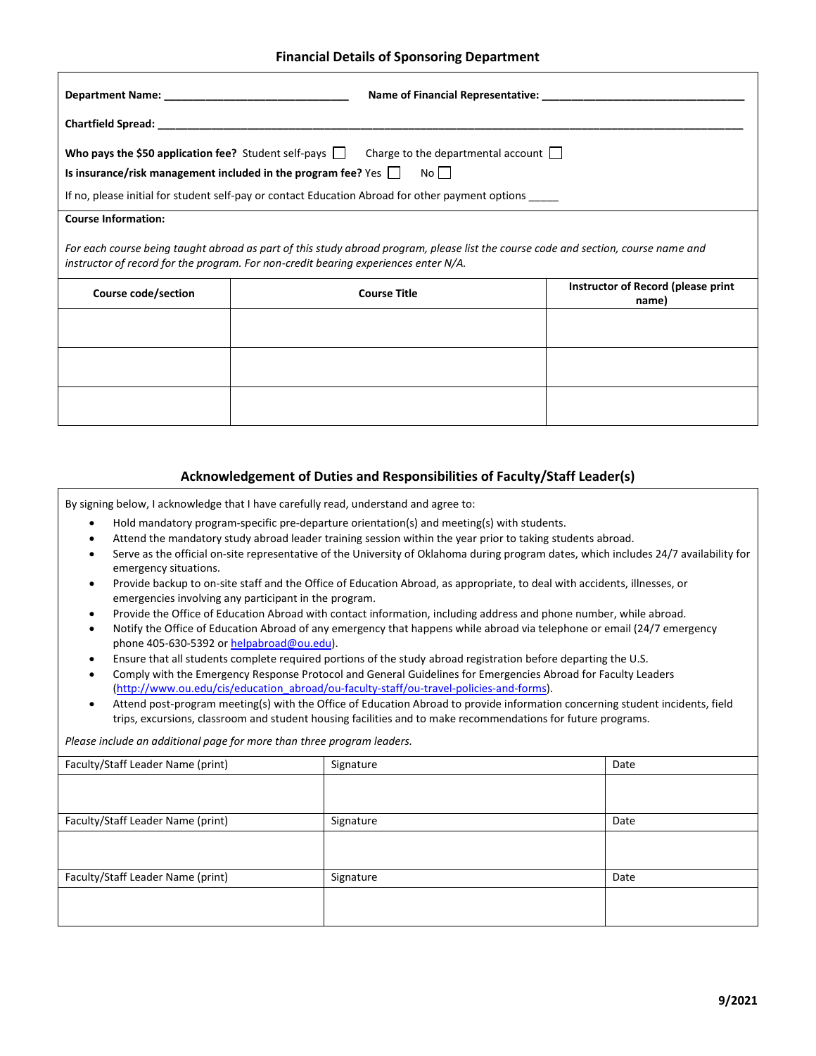## **Financial Details of Sponsoring Department**

| <b>Who pays the \$50 application fee?</b> Student self-pays $\Box$ Charge to the departmental account $\Box$                                                                                                              |                            |                                                    |  |  |
|---------------------------------------------------------------------------------------------------------------------------------------------------------------------------------------------------------------------------|----------------------------|----------------------------------------------------|--|--|
| Is insurance/risk management included in the program fee? $Yes \mid \mid No \mid \mid$                                                                                                                                    |                            |                                                    |  |  |
| If no, please initial for student self-pay or contact Education Abroad for other payment options _____                                                                                                                    |                            |                                                    |  |  |
|                                                                                                                                                                                                                           | <b>Course Information:</b> |                                                    |  |  |
| For each course being taught abroad as part of this study abroad program, please list the course code and section, course name and<br>instructor of record for the program. For non-credit bearing experiences enter N/A. |                            |                                                    |  |  |
| Course code/section                                                                                                                                                                                                       | <b>Course Title</b>        | <b>Instructor of Record (please print</b><br>name) |  |  |
|                                                                                                                                                                                                                           |                            |                                                    |  |  |
|                                                                                                                                                                                                                           |                            |                                                    |  |  |
|                                                                                                                                                                                                                           |                            |                                                    |  |  |
|                                                                                                                                                                                                                           |                            |                                                    |  |  |

## **Acknowledgement of Duties and Responsibilities of Faculty/Staff Leader(s)**

By signing below, I acknowledge that I have carefully read, understand and agree to:

- Hold mandatory program-specific pre-departure orientation(s) and meeting(s) with students.
- Attend the mandatory study abroad leader training session within the year prior to taking students abroad.
- Serve as the official on-site representative of the University of Oklahoma during program dates, which includes 24/7 availability for emergency situations.
- Provide backup to on-site staff and the Office of Education Abroad, as appropriate, to deal with accidents, illnesses, or emergencies involving any participant in the program.
- Provide the Office of Education Abroad with contact information, including address and phone number, while abroad.
- Notify the Office of Education Abroad of any emergency that happens while abroad via telephone or email (24/7 emergency phone 405-630-5392 o[r helpabroad@ou.edu\)](mailto:helpabroad@ou.edu).
- Ensure that all students complete required portions of the study abroad registration before departing the U.S.
- Comply with the Emergency Response Protocol and General Guidelines for Emergencies Abroad for Faculty Leaders [\(http://www.ou.edu/cis/education\\_abroad/ou-faculty-staff/ou-travel-policies-and-forms\)](http://www.ou.edu/cis/education_abroad/ou-faculty-staff/ou-travel-policies-and-forms).
- Attend post-program meeting(s) with the Office of Education Abroad to provide information concerning student incidents, field trips, excursions, classroom and student housing facilities and to make recommendations for future programs.

*Please include an additional page for more than three program leaders.*

| Signature | Date |
|-----------|------|
|           |      |
|           |      |
| Signature | Date |
|           |      |
|           |      |
| Signature | Date |
|           |      |
|           |      |
|           |      |